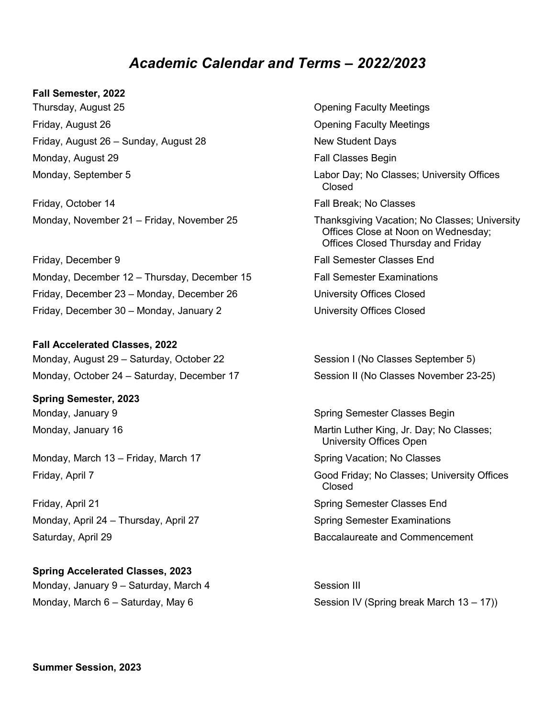## *Academic Calendar and Terms – 2022/2023*

## **Fall Semester, 2022**

Thursday, August 25 **Opening Faculty Meetings** Friday, August 26 **Contract 26** Opening Faculty Meetings Friday, August 26 – Sunday, August 28 Kanaday, New Student Days Monday, August 29 **Fall Classes Begin** 

Friday, October 14 Fall Break; No Classes Monday, November 21 – Friday, November 25 Thanksgiving Vacation; No Classes; University

Friday, December 9 Fall Semester Classes End Monday, December 12 – Thursday, December 15 Fall Semester Examinations Friday, December 23 – Monday, December 26 University Offices Closed Friday, December 30 – Monday, January 2 **University Offices Closed** 

**Fall Accelerated Classes, 2022** Monday, August 29 – Saturday, October 22 Session I (No Classes September 5)

**Spring Semester, 2023**

Monday, March 13 – Friday, March 17 Spring Vacation; No Classes

Friday, April 21 Spring Semester Classes End Monday, April 24 – Thursday, April 27 Superson Spring Semester Examinations Saturday, April 29 Baccalaureate and Commencement

**Spring Accelerated Classes, 2023** Monday, January 9 – Saturday, March 4 Session III

Monday, September 5 Labor Day; No Classes; University Offices Closed Offices Close at Noon on Wednesday; Offices Closed Thursday and Friday

Monday, October 24 – Saturday, December 17 Session II (No Classes November 23-25)

Monday, January 9 Spring Semester Classes Begin Monday, January 16 **Martin Luther King, Jr. Day**; No Classes; University Offices Open

Friday, April 7 Good Friday; No Classes; University Offices Closed

Monday, March 6 – Saturday, May 6  $\sim$  Session IV (Spring break March 13 – 17))

**Summer Session, 2023**